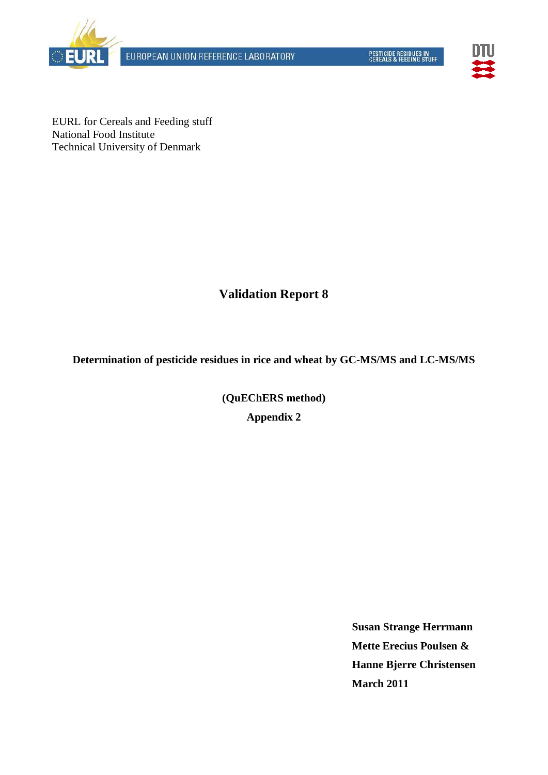



EURL for Cereals and Feeding stuff National Food Institute Technical University of Denmark

# **Validation Report 8**

**Determination of pesticide residues in rice and wheat by GC-MS/MS and LC-MS/MS**

**(QuEChERS method) Appendix 2**

> **Susan Strange Herrmann Mette Erecius Poulsen & Hanne Bjerre Christensen March 2011**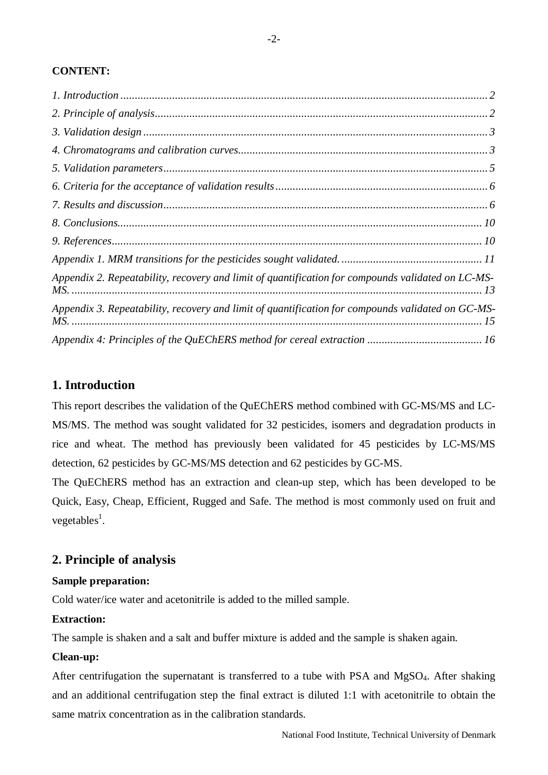# **CONTENT:**

| Appendix 2. Repeatability, recovery and limit of quantification for compounds validated on LC-MS- |  |
|---------------------------------------------------------------------------------------------------|--|
| Appendix 3. Repeatability, recovery and limit of quantification for compounds validated on GC-MS- |  |
|                                                                                                   |  |

# <span id="page-1-0"></span>**1. Introduction**

This report describes the validation of the QuEChERS method combined with GC-MS/MS and LC-MS/MS. The method was sought validated for 32 pesticides, isomers and degradation products in rice and wheat. The method has previously been validated for 45 pesticides by LC-MS/MS detection, 62 pesticides by GC-MS/MS detection and 62 pesticides by GC-MS.

The QuEChERS method has an extraction and clean-up step, which has been developed to be Quick, Easy, Cheap, Efficient, Rugged and Safe. The method is most commonly used on fruit and vegetables<sup>1</sup>.

# <span id="page-1-1"></span>**2. Principle of analysis**

# **Sample preparation:**

Cold water/ice water and acetonitrile is added to the milled sample.

# **Extraction:**

The sample is shaken and a salt and buffer mixture is added and the sample is shaken again.

## **Clean-up:**

After centrifugation the supernatant is transferred to a tube with PSA and MgSO<sub>4</sub>. After shaking and an additional centrifugation step the final extract is diluted 1:1 with acetonitrile to obtain the same matrix concentration as in the calibration standards.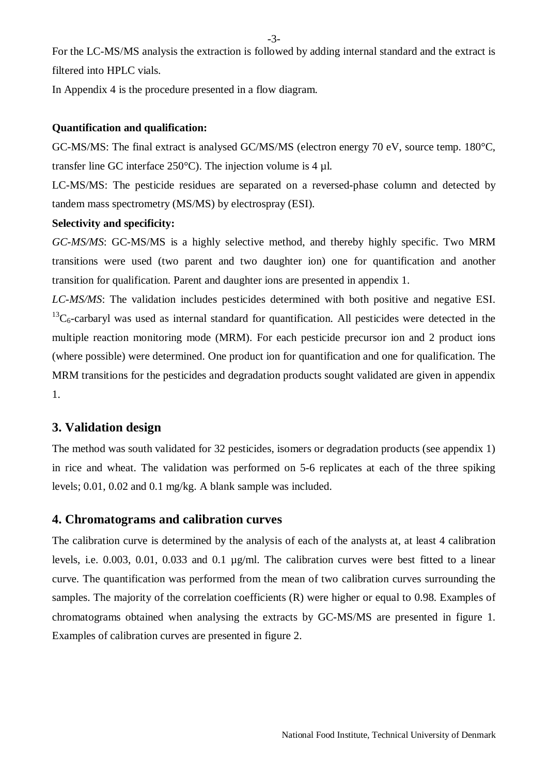-3-

For the LC-MS/MS analysis the extraction is followed by adding internal standard and the extract is filtered into HPLC vials.

In Appendix 4 is the procedure presented in a flow diagram.

# **Quantification and qualification:**

GC-MS/MS: The final extract is analysed GC/MS/MS (electron energy 70 eV, source temp. 180°C, transfer line GC interface 250°C). The injection volume is 4 µl.

LC-MS/MS: The pesticide residues are separated on a reversed-phase column and detected by tandem mass spectrometry (MS/MS) by electrospray (ESI).

# **Selectivity and specificity:**

*GC-MS/MS*: GC-MS/MS is a highly selective method, and thereby highly specific. Two MRM transitions were used (two parent and two daughter ion) one for quantification and another transition for qualification. Parent and daughter ions are presented in appendix 1.

*LC-MS/MS*: The validation includes pesticides determined with both positive and negative ESI.  ${}^{13}C_6$ -carbaryl was used as internal standard for quantification. All pesticides were detected in the multiple reaction monitoring mode (MRM). For each pesticide precursor ion and 2 product ions (where possible) were determined. One product ion for quantification and one for qualification. The MRM transitions for the pesticides and degradation products sought validated are given in appendix 1.

# <span id="page-2-0"></span>**3. Validation design**

The method was south validated for 32 pesticides, isomers or degradation products (see appendix 1) in rice and wheat. The validation was performed on 5-6 replicates at each of the three spiking levels; 0.01, 0.02 and 0.1 mg/kg. A blank sample was included.

## <span id="page-2-1"></span>**4. Chromatograms and calibration curves**

The calibration curve is determined by the analysis of each of the analysts at, at least 4 calibration levels, i.e. 0.003, 0.01, 0.033 and 0.1 µg/ml. The calibration curves were best fitted to a linear curve. The quantification was performed from the mean of two calibration curves surrounding the samples. The majority of the correlation coefficients (R) were higher or equal to 0.98. Examples of chromatograms obtained when analysing the extracts by GC-MS/MS are presented in figure 1. Examples of calibration curves are presented in figure 2.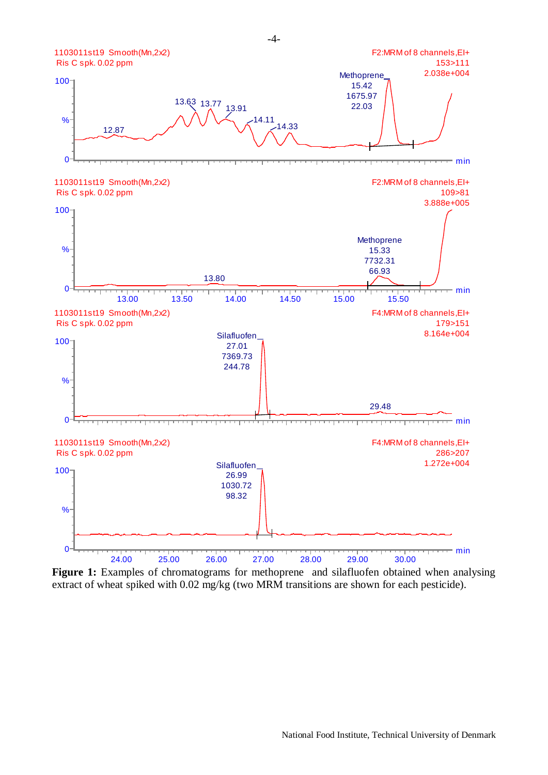

Figure 1: Examples of chromatograms for methoprene and silafluofen obtained when analysing extract of wheat spiked with 0.02 mg/kg (two MRM transitions are shown for each pesticide).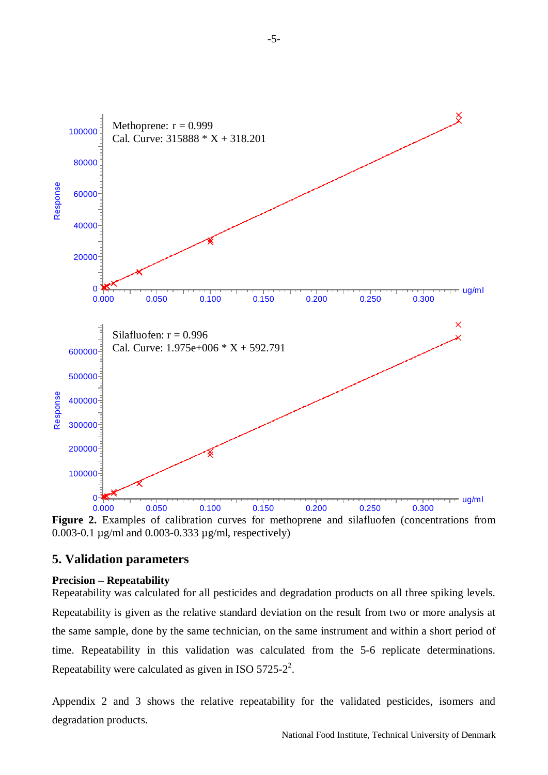

**Figure 2.** Examples of calibration curves for methoprene and silafluofen (concentrations from 0.003-0.1 µg/ml and 0.003-0.333 µg/ml, respectively)

# <span id="page-4-0"></span>**5. Validation parameters**

# **Precision – Repeatability**

Repeatability was calculated for all pesticides and degradation products on all three spiking levels. Repeatability is given as the relative standard deviation on the result from two or more analysis at the same sample, done by the same technician, on the same instrument and within a short period of time. Repeatability in this validation was calculated from the 5-6 replicate determinations. Repeatability were calculated as given in ISO  $5725-2^2$ .

Appendix 2 and 3 shows the relative repeatability for the validated pesticides, isomers and degradation products.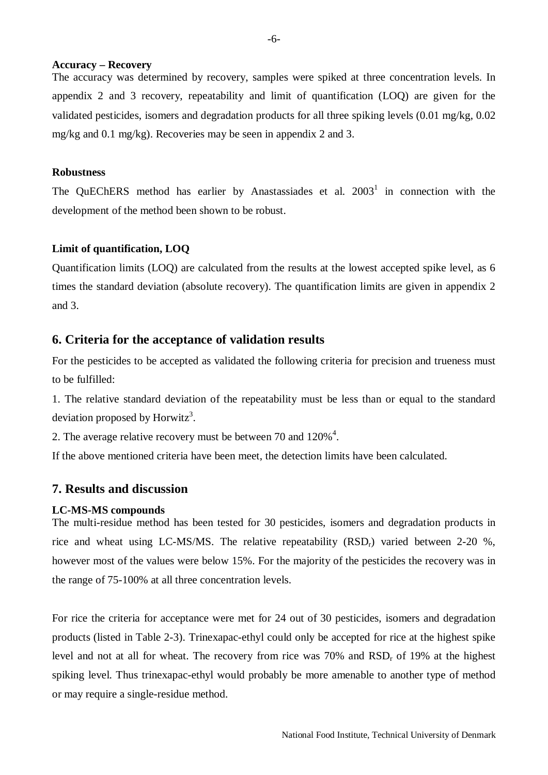#### **Accuracy – Recovery**

The accuracy was determined by recovery, samples were spiked at three concentration levels. In appendix 2 and 3 recovery, repeatability and limit of quantification (LOQ) are given for the validated pesticides, isomers and degradation products for all three spiking levels (0.01 mg/kg, 0.02 mg/kg and 0.1 mg/kg). Recoveries may be seen in appendix 2 and 3.

#### **Robustness**

The QuEChERS method has earlier by Anastassiades et al.  $2003<sup>1</sup>$  in connection with the development of the method been shown to be robust.

#### **Limit of quantification, LOQ**

Quantification limits (LOQ) are calculated from the results at the lowest accepted spike level, as 6 times the standard deviation (absolute recovery). The quantification limits are given in appendix 2 and 3.

#### <span id="page-5-0"></span>**6. Criteria for the acceptance of validation results**

For the pesticides to be accepted as validated the following criteria for precision and trueness must to be fulfilled:

1. The relative standard deviation of the repeatability must be less than or equal to the standard deviation proposed by Horwitz<sup>3</sup>.

2. The average relative recovery must be between 70 and  $120\%$ <sup>4</sup>.

If the above mentioned criteria have been meet, the detection limits have been calculated.

# <span id="page-5-1"></span>**7. Results and discussion**

#### **LC-MS-MS compounds**

The multi-residue method has been tested for 30 pesticides, isomers and degradation products in rice and wheat using LC-MS/MS. The relative repeatability  $(RSD<sub>r</sub>)$  varied between 2-20 %, however most of the values were below 15%. For the majority of the pesticides the recovery was in the range of 75-100% at all three concentration levels.

For rice the criteria for acceptance were met for 24 out of 30 pesticides, isomers and degradation products (listed in Table 2-3). Trinexapac-ethyl could only be accepted for rice at the highest spike level and not at all for wheat. The recovery from rice was  $70\%$  and  $RSD<sub>r</sub>$  of 19% at the highest spiking level. Thus trinexapac-ethyl would probably be more amenable to another type of method or may require a single-residue method.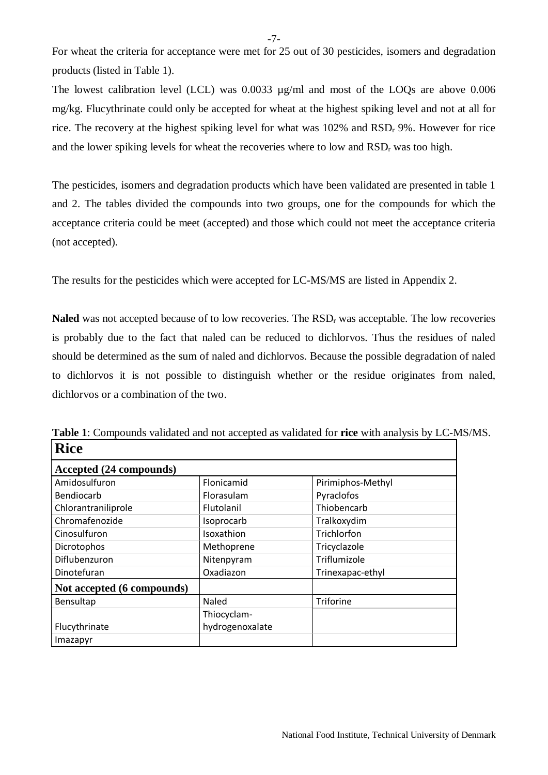For wheat the criteria for acceptance were met for 25 out of 30 pesticides, isomers and degradation products (listed in Table 1).

The lowest calibration level (LCL) was 0.0033 µg/ml and most of the LOQs are above 0.006 mg/kg. Flucythrinate could only be accepted for wheat at the highest spiking level and not at all for rice. The recovery at the highest spiking level for what was  $102\%$  and  $RSD<sub>r</sub>$  9%. However for rice and the lower spiking levels for wheat the recoveries where to low and  $RSD<sub>r</sub>$  was too high.

The pesticides, isomers and degradation products which have been validated are presented in table 1 and 2. The tables divided the compounds into two groups, one for the compounds for which the acceptance criteria could be meet (accepted) and those which could not meet the acceptance criteria (not accepted).

The results for the pesticides which were accepted for LC-MS/MS are listed in Appendix 2.

**Naled** was not accepted because of to low recoveries. The RSD<sub>r</sub> was acceptable. The low recoveries is probably due to the fact that naled can be reduced to dichlorvos. Thus the residues of naled should be determined as the sum of naled and dichlorvos. Because the possible degradation of naled to dichlorvos it is not possible to distinguish whether or the residue originates from naled, dichlorvos or a combination of the two.

| <b>Rice</b>                |                 |                   |  |  |  |  |  |  |  |
|----------------------------|-----------------|-------------------|--|--|--|--|--|--|--|
| Accepted (24 compounds)    |                 |                   |  |  |  |  |  |  |  |
| Amidosulfuron              | Flonicamid      | Pirimiphos-Methyl |  |  |  |  |  |  |  |
| Bendiocarb                 | Florasulam      | Pyraclofos        |  |  |  |  |  |  |  |
| Chlorantraniliprole        | Flutolanil      | Thiobencarb       |  |  |  |  |  |  |  |
| Chromafenozide             | Isoprocarb      | Tralkoxydim       |  |  |  |  |  |  |  |
| Cinosulfuron               | Isoxathion      | Trichlorfon       |  |  |  |  |  |  |  |
| Dicrotophos                | Methoprene      | Tricyclazole      |  |  |  |  |  |  |  |
| Diflubenzuron              | Nitenpyram      | Triflumizole      |  |  |  |  |  |  |  |
| Dinotefuran                | Oxadiazon       | Trinexapac-ethyl  |  |  |  |  |  |  |  |
| Not accepted (6 compounds) |                 |                   |  |  |  |  |  |  |  |
| Bensultap                  | Naled           | Triforine         |  |  |  |  |  |  |  |
|                            | Thiocyclam-     |                   |  |  |  |  |  |  |  |
| Flucythrinate              | hydrogenoxalate |                   |  |  |  |  |  |  |  |
| Imazapyr                   |                 |                   |  |  |  |  |  |  |  |

**Table 1**: Compounds validated and not accepted as validated for **rice** with analysis by LC-MS/MS.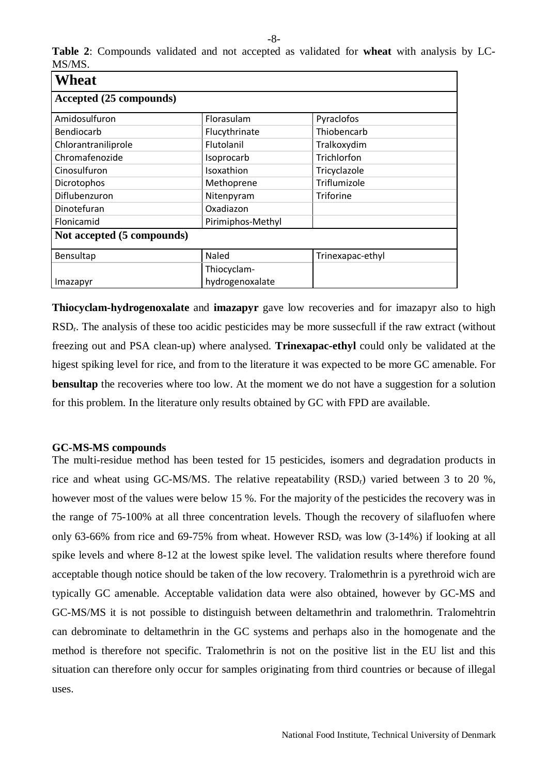| <b>Wheat</b>               |                   |                  |  |  |  |  |  |  |  |
|----------------------------|-------------------|------------------|--|--|--|--|--|--|--|
| Accepted (25 compounds)    |                   |                  |  |  |  |  |  |  |  |
| Amidosulfuron              | Florasulam        | Pyraclofos       |  |  |  |  |  |  |  |
| Bendiocarb                 | Flucythrinate     | Thiobencarb      |  |  |  |  |  |  |  |
| Chlorantraniliprole        | Flutolanil        | Tralkoxydim      |  |  |  |  |  |  |  |
| Chromafenozide             | Isoprocarb        | Trichlorfon      |  |  |  |  |  |  |  |
| Cinosulfuron               | Isoxathion        | Tricyclazole     |  |  |  |  |  |  |  |
| Dicrotophos                | Methoprene        | Triflumizole     |  |  |  |  |  |  |  |
| Diflubenzuron              | Nitenpyram        | Triforine        |  |  |  |  |  |  |  |
| Dinotefuran                | Oxadiazon         |                  |  |  |  |  |  |  |  |
| Flonicamid                 | Pirimiphos-Methyl |                  |  |  |  |  |  |  |  |
| Not accepted (5 compounds) |                   |                  |  |  |  |  |  |  |  |
| Bensultap                  | <b>Naled</b>      | Trinexapac-ethyl |  |  |  |  |  |  |  |
|                            | Thiocyclam-       |                  |  |  |  |  |  |  |  |
| Imazapyr                   | hydrogenoxalate   |                  |  |  |  |  |  |  |  |

**Table 2**: Compounds validated and not accepted as validated for **wheat** with analysis by LC-MS/MS.

**Thiocyclam-hydrogenoxalate** and **imazapyr** gave low recoveries and for imazapyr also to high RSDr. The analysis of these too acidic pesticides may be more sussecfull if the raw extract (without freezing out and PSA clean-up) where analysed. **Trinexapac-ethyl** could only be validated at the higest spiking level for rice, and from to the literature it was expected to be more GC amenable. For **bensultap** the recoveries where too low. At the moment we do not have a suggestion for a solution for this problem. In the literature only results obtained by GC with FPD are available.

#### **GC-MS-MS compounds**

The multi-residue method has been tested for 15 pesticides, isomers and degradation products in rice and wheat using GC-MS/MS. The relative repeatability  $(RSD<sub>r</sub>)$  varied between 3 to 20 %, however most of the values were below 15 %. For the majority of the pesticides the recovery was in the range of 75-100% at all three concentration levels. Though the recovery of silafluofen where only 63-66% from rice and 69-75% from wheat. However  $RSD<sub>r</sub>$  was low (3-14%) if looking at all spike levels and where 8-12 at the lowest spike level. The validation results where therefore found acceptable though notice should be taken of the low recovery. Tralomethrin is a pyrethroid wich are typically GC amenable. Acceptable validation data were also obtained, however by GC-MS and GC-MS/MS it is not possible to distinguish between deltamethrin and tralomethrin. Tralomehtrin can debrominate to deltamethrin in the GC systems and perhaps also in the homogenate and the method is therefore not specific. Tralomethrin is not on the positive list in the EU list and this situation can therefore only occur for samples originating from third countries or because of illegal uses.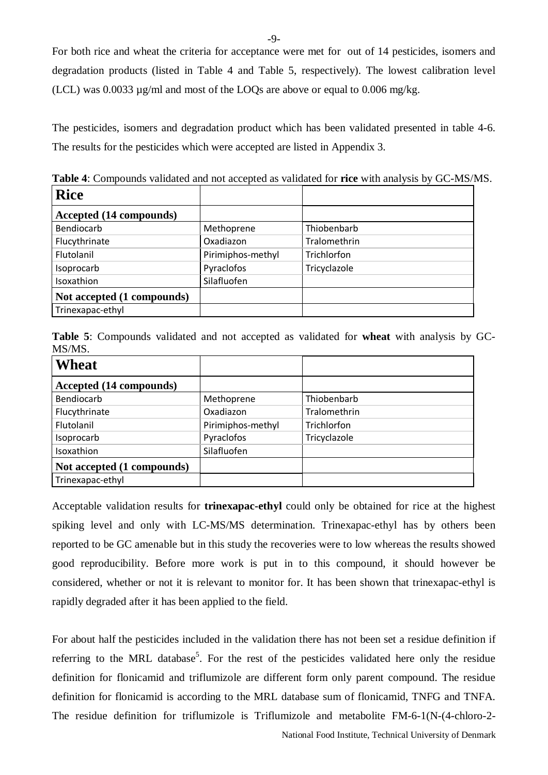For both rice and wheat the criteria for acceptance were met for out of 14 pesticides, isomers and degradation products (listed in Table 4 and Table 5, respectively). The lowest calibration level (LCL) was  $0.0033 \mu$ g/ml and most of the LOQs are above or equal to  $0.006 \text{ mg/kg}$ .

The pesticides, isomers and degradation product which has been validated presented in table 4-6. The results for the pesticides which were accepted are listed in Appendix 3.

| <b>Rice</b>                |                   |              |
|----------------------------|-------------------|--------------|
| Accepted (14 compounds)    |                   |              |
| Bendiocarb                 | Methoprene        | Thiobenbarb  |
| Flucythrinate              | Oxadiazon         | Tralomethrin |
| Flutolanil                 | Pirimiphos-methyl | Trichlorfon  |
| Isoprocarb                 | Pyraclofos        | Tricyclazole |
| Isoxathion                 | Silafluofen       |              |
| Not accepted (1 compounds) |                   |              |
| Trinexapac-ethyl           |                   |              |

**Table 4**: Compounds validated and not accepted as validated for **rice** with analysis by GC-MS/MS.

**Table 5**: Compounds validated and not accepted as validated for **wheat** with analysis by GC-MS/MS.

| <b>Wheat</b>               |                   |              |
|----------------------------|-------------------|--------------|
| Accepted (14 compounds)    |                   |              |
| Bendiocarb                 | Methoprene        | Thiobenbarb  |
| Flucythrinate              | Oxadiazon         | Tralomethrin |
| Flutolanil                 | Pirimiphos-methyl | Trichlorfon  |
| Isoprocarb                 | Pyraclofos        | Tricyclazole |
| Isoxathion                 | Silafluofen       |              |
| Not accepted (1 compounds) |                   |              |
| Trinexapac-ethyl           |                   |              |

Acceptable validation results for **trinexapac-ethyl** could only be obtained for rice at the highest spiking level and only with LC-MS/MS determination. Trinexapac-ethyl has by others been reported to be GC amenable but in this study the recoveries were to low whereas the results showed good reproducibility. Before more work is put in to this compound, it should however be considered, whether or not it is relevant to monitor for. It has been shown that trinexapac-ethyl is rapidly degraded after it has been applied to the field.

For about half the pesticides included in the validation there has not been set a residue definition if referring to the MRL database<sup>5</sup>. For the rest of the pesticides validated here only the residue definition for flonicamid and triflumizole are different form only parent compound. The residue definition for flonicamid is according to the MRL database sum of flonicamid, TNFG and TNFA. The residue definition for triflumizole is [Triflumizole and metabolite FM-6-1\(N-\(4-chloro-2-](http://ec.europa.eu/sanco_pesticides/public/index.cfm?event=substance.info&id=395)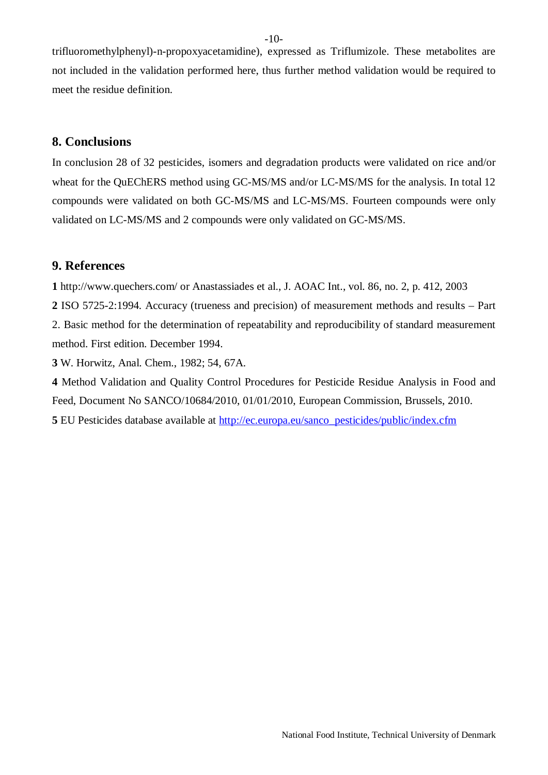[trifluoromethylphenyl\)-n-propoxyacetamidine\), expressed as Triflumizole.](http://ec.europa.eu/sanco_pesticides/public/index.cfm?event=substance.info&id=395) These metabolites are not included in the validation performed here, thus further method validation would be required to meet the residue definition.

# <span id="page-9-0"></span>**8. Conclusions**

In conclusion 28 of 32 pesticides, isomers and degradation products were validated on rice and/or wheat for the QuEChERS method using GC-MS/MS and/or LC-MS/MS for the analysis. In total 12 compounds were validated on both GC-MS/MS and LC-MS/MS. Fourteen compounds were only validated on LC-MS/MS and 2 compounds were only validated on GC-MS/MS.

# <span id="page-9-1"></span>**9. References**

**1** http://www.quechers.com/ or Anastassiades et al., J. AOAC Int., vol. 86, no. 2, p. 412, 2003

**2** ISO 5725-2:1994. Accuracy (trueness and precision) of measurement methods and results – Part 2. Basic method for the determination of repeatability and reproducibility of standard measurement method. First edition. December 1994.

**3** W. Horwitz, Anal. Chem., 1982; 54, 67A.

**4** Method Validation and Quality Control Procedures for Pesticide Residue Analysis in Food and Feed, Document No SANCO/10684/2010, 01/01/2010, European Commission, Brussels, 2010. **5** EU Pesticides database available at [http://ec.europa.eu/sanco\\_pesticides/public/index.cfm](http://ec.europa.eu/sanco_pesticides/public/index.cfm)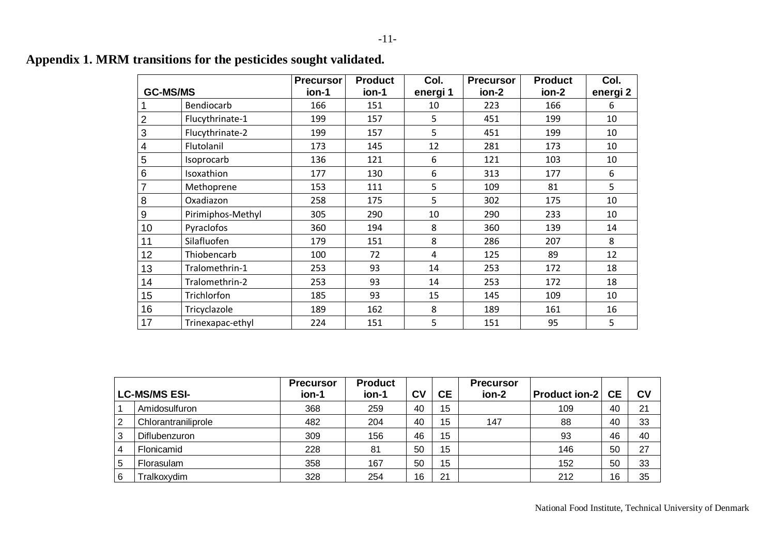|                |                   | <b>Precursor</b> | <b>Product</b> | Col.             | <b>Precursor</b> | <b>Product</b> | Col.                |
|----------------|-------------------|------------------|----------------|------------------|------------------|----------------|---------------------|
|                | <b>GC-MS/MS</b>   | ion-1            | ion-1          | energi 1         | ion-2            | ion-2          | energi <sub>2</sub> |
|                | Bendiocarb        | 166              | 151            | 10               | 223              | 166            | 6                   |
| $\overline{2}$ | Flucythrinate-1   | 199              | 157            | 5                | 451              | 199            | 10                  |
| 3              | Flucythrinate-2   | 199              | 157            | 5                | 451              | 199            | 10                  |
| 4              | Flutolanil        | 173              | 145            | 12               | 281              | 173            | 10                  |
| 5              | Isoprocarb        | 136              | 121            | $\boldsymbol{6}$ | 121              | 103            | 10                  |
| 6              | Isoxathion        | 177              | 130            | 6                | 313              | 177            | 6                   |
|                | Methoprene        | 153              | 111            | 5                | 109              | 81             | 5                   |
| 8              | Oxadiazon         | 258              | 175            | 5                | 302              | 175            | 10                  |
| 9              | Pirimiphos-Methyl | 305              | 290            | 10               | 290              | 233            | 10                  |
| 10             | Pyraclofos        | 360              | 194            | 8                | 360              | 139            | 14                  |
| 11             | Silafluofen       | 179              | 151            | 8                | 286              | 207            | 8                   |
| 12             | Thiobencarb       | 100              | 72             | 4                | 125              | 89             | 12                  |
| 13             | Tralomethrin-1    | 253              | 93             | 14               | 253              | 172            | 18                  |
| 14             | Tralomethrin-2    | 253              | 93             | 14               | 253              | 172            | 18                  |
| 15             | Trichlorfon       | 185              | 93             | 15               | 145              | 109            | 10                  |
| 16             | Tricyclazole      | 189              | 162            | 8                | 189              | 161            | 16                  |
| 17             | Trinexapac-ethyl  | 224              | 151            | 5                | 151              | 95             | 5                   |

# **Appendix 1. MRM transitions for the pesticides sought validated.**

<span id="page-10-0"></span>

|                |                      | <b>Precursor</b> | <b>Product</b> |    |           | <b>Precursor</b> |                      |           |    |
|----------------|----------------------|------------------|----------------|----|-----------|------------------|----------------------|-----------|----|
|                | <b>LC-MS/MS ESI-</b> | ion-1            | ion-1          | C٧ | <b>CE</b> | ion-2            | <b>Product ion-2</b> | <b>CE</b> | CV |
|                | Amidosulfuron        | 368              | 259            | 40 | 15        |                  | 109                  | 40        | 21 |
| $\overline{2}$ | Chlorantraniliprole  | 482              | 204            | 40 | 15        | 147              | 88                   | 40        | 33 |
| 3              | Diflubenzuron        | 309              | 156            | 46 | 15        |                  | 93                   | 46        | 40 |
| $\overline{4}$ | Flonicamid           | 228              | 81             | 50 | 15        |                  | 146                  | 50        | 27 |
| 5              | Florasulam           | 358              | 167            | 50 | 15        |                  | 152                  | 50        | 33 |
| 6              | Fralkoxvdim          | 328              | 254            | 16 | 21        |                  | 212                  | 16        | 35 |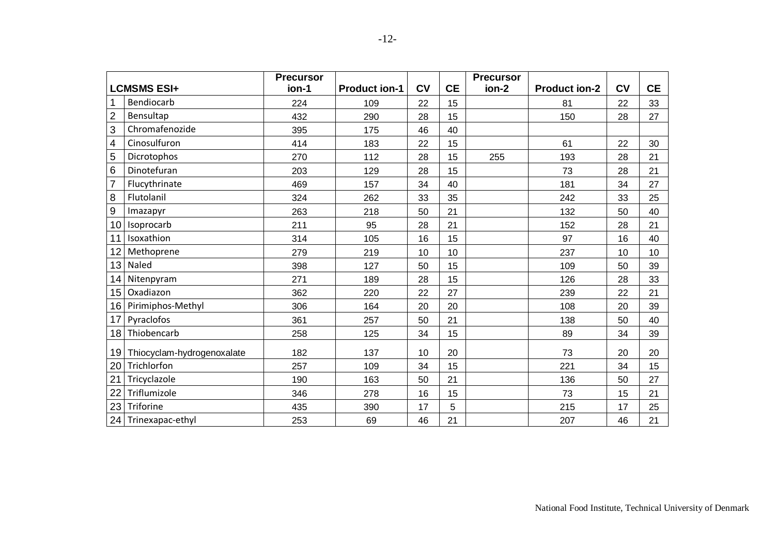|                         |                               | <b>Precursor</b> |                      |           |           | <b>Precursor</b> |                      |           |           |
|-------------------------|-------------------------------|------------------|----------------------|-----------|-----------|------------------|----------------------|-----------|-----------|
|                         | <b>LCMSMS ESI+</b>            | ion-1            | <b>Product ion-1</b> | <b>CV</b> | <b>CE</b> | ion-2            | <b>Product ion-2</b> | <b>CV</b> | <b>CE</b> |
| $\mathbf{1}$            | Bendiocarb                    | 224              | 109                  | 22        | 15        |                  | 81                   | 22        | 33        |
| $\overline{2}$          | Bensultap                     | 432              | 290                  | 28        | 15        |                  | 150                  | 28        | 27        |
| $\mathbf{3}$            | Chromafenozide                | 395              | 175                  | 46        | 40        |                  |                      |           |           |
| $\overline{\mathbf{4}}$ | Cinosulfuron                  | 414              | 183                  | 22        | 15        |                  | 61                   | 22        | 30        |
| $\overline{5}$          | Dicrotophos                   | 270              | 112                  | 28        | 15        | 255              | 193                  | 28        | 21        |
| $\,6\,$                 | Dinotefuran                   | 203              | 129                  | 28        | 15        |                  | 73                   | 28        | 21        |
| $\overline{7}$          | Flucythrinate                 | 469              | 157                  | 34        | 40        |                  | 181                  | 34        | 27        |
| $\, 8$                  | Flutolanil                    | 324              | 262                  | 33        | 35        |                  | 242                  | 33        | 25        |
| $9\,$                   | Imazapyr                      | 263              | 218                  | 50        | 21        |                  | 132                  | 50        | 40        |
| 10                      | Isoprocarb                    | 211              | 95                   | 28        | 21        |                  | 152                  | 28        | 21        |
| 11                      | Isoxathion                    | 314              | 105                  | 16        | 15        |                  | 97                   | 16        | 40        |
| 12                      | Methoprene                    | 279              | 219                  | 10        | 10        |                  | 237                  | 10        | 10        |
| 13                      | Naled                         | 398              | 127                  | 50        | 15        |                  | 109                  | 50        | 39        |
| 14                      | Nitenpyram                    | 271              | 189                  | 28        | 15        |                  | 126                  | 28        | 33        |
| 15                      | Oxadiazon                     | 362              | 220                  | 22        | 27        |                  | 239                  | 22        | 21        |
| 16                      | Pirimiphos-Methyl             | 306              | 164                  | 20        | 20        |                  | 108                  | 20        | 39        |
| 17                      | Pyraclofos                    | 361              | 257                  | 50        | 21        |                  | 138                  | 50        | 40        |
| 18                      | Thiobencarb                   | 258              | 125                  | 34        | 15        |                  | 89                   | 34        | 39        |
|                         | 19 Thiocyclam-hydrogenoxalate | 182              | 137                  | 10        | 20        |                  | 73                   | 20        | 20        |
| 20                      | Trichlorfon                   | 257              | 109                  | 34        | 15        |                  | 221                  | 34        | 15        |
| 21                      | Tricyclazole                  | 190              | 163                  | 50        | 21        |                  | 136                  | 50        | 27        |
| 22                      | Triflumizole                  | 346              | 278                  | 16        | 15        |                  | 73                   | 15        | 21        |
| 23                      | Triforine                     | 435              | 390                  | 17        | 5         |                  | 215                  | 17        | 25        |
|                         | 24 Trinexapac-ethyl           | 253              | 69                   | 46        | 21        |                  | 207                  | 46        | 21        |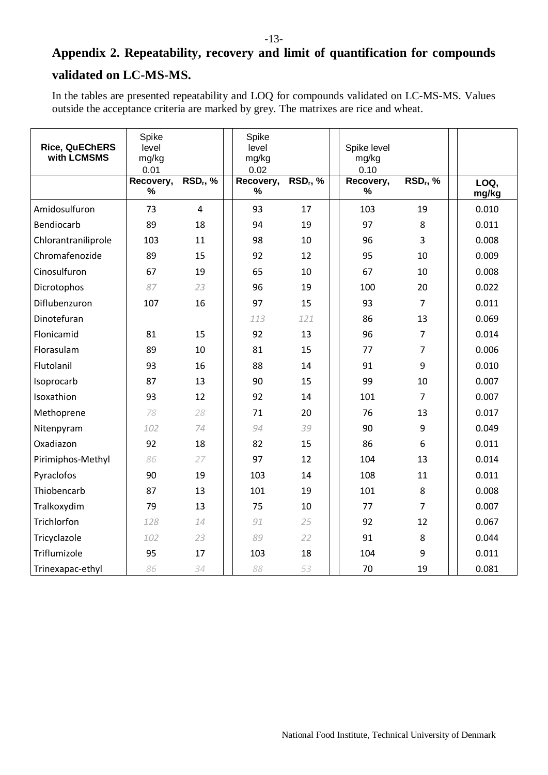# <span id="page-12-0"></span>**Appendix 2. Repeatability, recovery and limit of quantification for compounds validated on LC-MS-MS.**

In the tables are presented repeatability and LOQ for compounds validated on LC-MS-MS. Values outside the acceptance criteria are marked by grey. The matrixes are rice and wheat.

| <b>Rice, QuEChERS</b><br>with LCMSMS | Spike<br>level<br>mg/kg<br>0.01 |                               | Spike<br>level<br>mg/kg<br>0.02 |                               | Spike level<br>mg/kg<br>0.10 |                  |               |
|--------------------------------------|---------------------------------|-------------------------------|---------------------------------|-------------------------------|------------------------------|------------------|---------------|
|                                      | Recovery,<br>$\%$               | $\overline{\text{RSD}_r, \%}$ | Recovery,<br>$\%$               | $\overline{\text{RSD}_r}$ , % | Recovery,<br>$\%$            | $RSD_r$ , %      | LOQ,<br>mg/kg |
| Amidosulfuron                        | 73                              | $\overline{4}$                | 93                              | 17                            | 103                          | 19               | 0.010         |
| Bendiocarb                           | 89                              | 18                            | 94                              | 19                            | 97                           | 8                | 0.011         |
| Chlorantraniliprole                  | 103                             | 11                            | 98                              | 10                            | 96                           | 3                | 0.008         |
| Chromafenozide                       | 89                              | 15                            | 92                              | 12                            | 95                           | 10               | 0.009         |
| Cinosulfuron                         | 67                              | 19                            | 65                              | 10                            | 67                           | 10               | 0.008         |
| Dicrotophos                          | 87                              | 23                            | 96                              | 19                            | 100                          | 20               | 0.022         |
| Diflubenzuron                        | 107                             | 16                            | 97                              | 15                            | 93                           | $\overline{7}$   | 0.011         |
| Dinotefuran                          |                                 |                               | 113                             | 121                           | 86                           | 13               | 0.069         |
| Flonicamid                           | 81                              | 15                            | 92                              | 13                            | 96                           | $\overline{7}$   | 0.014         |
| Florasulam                           | 89                              | 10                            | 81                              | 15                            | 77                           | 7                | 0.006         |
| Flutolanil                           | 93                              | 16                            | 88                              | 14                            | 91                           | 9                | 0.010         |
| Isoprocarb                           | 87                              | 13                            | 90                              | 15                            | 99                           | 10               | 0.007         |
| Isoxathion                           | 93                              | 12                            | 92                              | 14                            | 101                          | $\overline{7}$   | 0.007         |
| Methoprene                           | 78                              | 28                            | 71                              | 20                            | 76                           | 13               | 0.017         |
| Nitenpyram                           | 102                             | 74                            | 94                              | 39                            | 90                           | $\boldsymbol{9}$ | 0.049         |
| Oxadiazon                            | 92                              | 18                            | 82                              | 15                            | 86                           | 6                | 0.011         |
| Pirimiphos-Methyl                    | 86                              | 27                            | 97                              | 12                            | 104                          | 13               | 0.014         |
| Pyraclofos                           | 90                              | 19                            | 103                             | 14                            | 108                          | 11               | 0.011         |
| Thiobencarb                          | 87                              | 13                            | 101                             | 19                            | 101                          | 8                | 0.008         |
| Tralkoxydim                          | 79                              | 13                            | 75                              | 10                            | 77                           | $\overline{7}$   | 0.007         |
| Trichlorfon                          | 128                             | 14                            | 91                              | 25                            | 92                           | 12               | 0.067         |
| Tricyclazole                         | 102                             | 23                            | 89                              | 22                            | 91                           | 8                | 0.044         |
| Triflumizole                         | 95                              | 17                            | 103                             | 18                            | 104                          | 9                | 0.011         |
| Trinexapac-ethyl                     | 86                              | 34                            | 88                              | 53                            | 70                           | 19               | 0.081         |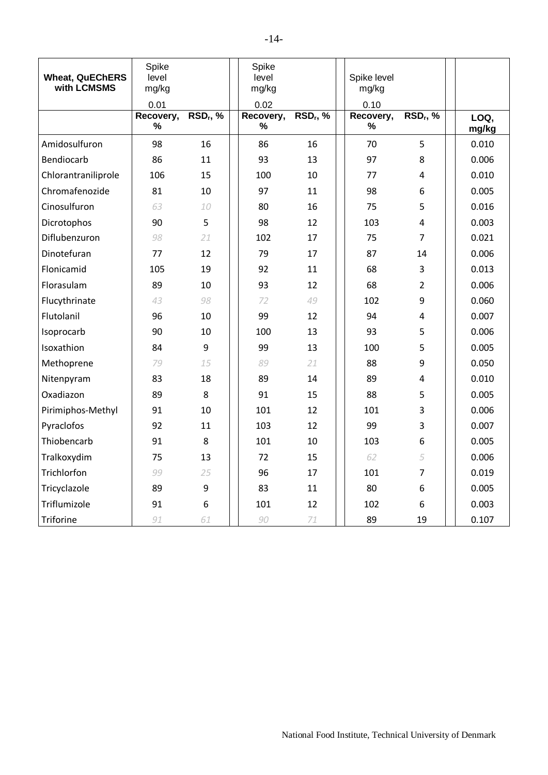| <b>Wheat, QuEChERS</b><br>with LCMSMS | Spike<br>level<br>mg/kg<br>0.01 |            | Spike<br>level<br>mg/kg<br>0.02 |             | Spike level<br>mg/kg<br>0.10 |                            |               |
|---------------------------------------|---------------------------------|------------|---------------------------------|-------------|------------------------------|----------------------------|---------------|
|                                       | Recovery,<br>%                  | $RSD_r, %$ | Recovery,<br>%                  | $RSD_r$ , % | Recovery,<br>%               | <b>RSD<sub>r</sub></b> , % | LOQ,<br>mg/kg |
| Amidosulfuron                         | 98                              | 16         | 86                              | 16          | 70                           | 5                          | 0.010         |
| Bendiocarb                            | 86                              | 11         | 93                              | 13          | 97                           | 8                          | 0.006         |
| Chlorantraniliprole                   | 106                             | 15         | 100                             | 10          | 77                           | 4                          | 0.010         |
| Chromafenozide                        | 81                              | 10         | 97                              | 11          | 98                           | 6                          | 0.005         |
| Cinosulfuron                          | 63                              | 10         | 80                              | 16          | 75                           | 5                          | 0.016         |
| Dicrotophos                           | 90                              | 5          | 98                              | 12          | 103                          | 4                          | 0.003         |
| Diflubenzuron                         | 98                              | 21         | 102                             | 17          | 75                           | 7                          | 0.021         |
| Dinotefuran                           | 77                              | 12         | 79                              | 17          | 87                           | 14                         | 0.006         |
| Flonicamid                            | 105                             | 19         | 92                              | 11          | 68                           | 3                          | 0.013         |
| Florasulam                            | 89                              | 10         | 93                              | 12          | 68                           | $\overline{2}$             | 0.006         |
| Flucythrinate                         | 43                              | 98         | 72                              | 49          | 102                          | 9                          | 0.060         |
| Flutolanil                            | 96                              | 10         | 99                              | 12          | 94                           | 4                          | 0.007         |
| Isoprocarb                            | 90                              | 10         | 100                             | 13          | 93                           | 5                          | 0.006         |
| Isoxathion                            | 84                              | 9          | 99                              | 13          | 100                          | 5                          | 0.005         |
| Methoprene                            | 79                              | 15         | 89                              | 21          | 88                           | 9                          | 0.050         |
| Nitenpyram                            | 83                              | 18         | 89                              | 14          | 89                           | 4                          | 0.010         |
| Oxadiazon                             | 89                              | 8          | 91                              | 15          | 88                           | 5                          | 0.005         |
| Pirimiphos-Methyl                     | 91                              | 10         | 101                             | 12          | 101                          | 3                          | 0.006         |
| Pyraclofos                            | 92                              | 11         | 103                             | 12          | 99                           | 3                          | 0.007         |
| Thiobencarb                           | 91                              | 8          | 101                             | 10          | 103                          | 6                          | 0.005         |
| Tralkoxydim                           | 75                              | 13         | 72                              | 15          | 62                           | 5                          | 0.006         |
| Trichlorfon                           | 99                              | 25         | 96                              | 17          | 101                          | $\overline{7}$             | 0.019         |
| Tricyclazole                          | 89                              | 9          | 83                              | 11          | 80                           | 6                          | 0.005         |
| Triflumizole                          | 91                              | 6          | 101                             | 12          | 102                          | 6                          | 0.003         |
| Triforine                             | 91                              | 61         | 90                              | 71          | 89                           | 19                         | 0.107         |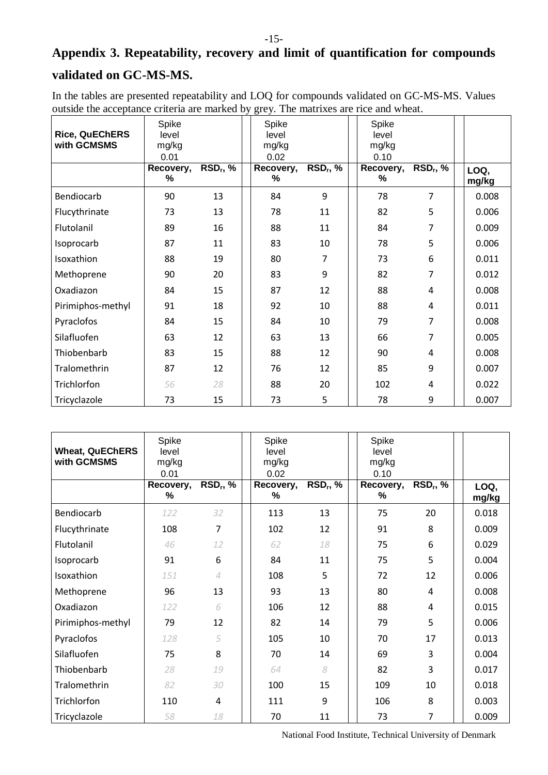# <span id="page-14-0"></span>**Appendix 3. Repeatability, recovery and limit of quantification for compounds validated on GC-MS-MS.**

In the tables are presented repeatability and LOQ for compounds validated on GC-MS-MS. Values outside the acceptance criteria are marked by grey. The matrixes are rice and wheat.

| <b>Rice, QuEChERS</b><br>with GCMSMS | Spike<br>level<br>mg/kg<br>0.01 |             | Spike<br>level<br>mg/kg<br>0.02 |            | Spike<br>level<br>mg/kg<br>0.10 |                               |               |
|--------------------------------------|---------------------------------|-------------|---------------------------------|------------|---------------------------------|-------------------------------|---------------|
|                                      | Recovery,<br>%                  | $RSD_r$ , % | Recovery,<br>%                  | $RSD_r, %$ | Recovery,<br>%                  | $\overline{\text{RSD}_r}$ , % | LOQ,<br>mg/kg |
| Bendiocarb                           | 90                              | 13          | 84                              | 9          | 78                              | $\overline{7}$                | 0.008         |
| Flucythrinate                        | 73                              | 13          | 78                              | 11         | 82                              | 5                             | 0.006         |
| Flutolanil                           | 89                              | 16          | 88                              | 11         | 84                              | 7                             | 0.009         |
| Isoprocarb                           | 87                              | 11          | 83                              | 10         | 78                              | 5                             | 0.006         |
| Isoxathion                           | 88                              | 19          | 80                              | 7          | 73                              | 6                             | 0.011         |
| Methoprene                           | 90                              | 20          | 83                              | 9          | 82                              | 7                             | 0.012         |
| Oxadiazon                            | 84                              | 15          | 87                              | 12         | 88                              | 4                             | 0.008         |
| Pirimiphos-methyl                    | 91                              | 18          | 92                              | 10         | 88                              | 4                             | 0.011         |
| Pyraclofos                           | 84                              | 15          | 84                              | 10         | 79                              | 7                             | 0.008         |
| Silafluofen                          | 63                              | 12          | 63                              | 13         | 66                              | 7                             | 0.005         |
| Thiobenbarb                          | 83                              | 15          | 88                              | 12         | 90                              | 4                             | 0.008         |
| Tralomethrin                         | 87                              | 12          | 76                              | 12         | 85                              | 9                             | 0.007         |
| Trichlorfon                          | 56                              | 28          | 88                              | 20         | 102                             | 4                             | 0.022         |
| Tricyclazole                         | 73                              | 15          | 73                              | 5          | 78                              | 9                             | 0.007         |

| <b>Wheat, QuEChERS</b><br>with GCMSMS | Spike<br>level<br>mg/kg<br>0.01<br>Recovery, | $RSD_r$ , % | Spike<br>level<br>mg/kg<br>0.02<br>Recovery, | $RSD_r, %$ | Spike<br>level<br>mg/kg<br>0.10<br>Recovery, | $RSD_r, %$ | LOQ,  |
|---------------------------------------|----------------------------------------------|-------------|----------------------------------------------|------------|----------------------------------------------|------------|-------|
|                                       | %                                            |             | %                                            |            | %                                            |            | mg/kg |
| Bendiocarb                            | 122                                          | 32          | 113                                          | 13         | 75                                           | 20         | 0.018 |
| Flucythrinate                         | 108                                          | 7           | 102                                          | 12         | 91                                           | 8          | 0.009 |
| Flutolanil                            | 46                                           | 12          | 62                                           | 18         | 75                                           | 6          | 0.029 |
| Isoprocarb                            | 91                                           | 6           | 84                                           | 11         | 75                                           | 5          | 0.004 |
| Isoxathion                            | 151                                          | $\Delta$    | 108                                          | 5          | 72                                           | 12         | 0.006 |
| Methoprene                            | 96                                           | 13          | 93                                           | 13         | 80                                           | 4          | 0.008 |
| Oxadiazon                             | 122                                          | 6           | 106                                          | 12         | 88                                           | 4          | 0.015 |
| Pirimiphos-methyl                     | 79                                           | 12          | 82                                           | 14         | 79                                           | 5          | 0.006 |
| Pyraclofos                            | 128                                          | 5           | 105                                          | 10         | 70                                           | 17         | 0.013 |
| Silafluofen                           | 75                                           | 8           | 70                                           | 14         | 69                                           | 3          | 0.004 |
| Thiobenbarb                           | 28                                           | 19          | 64                                           | 8          | 82                                           | 3          | 0.017 |
| Tralomethrin                          | 82                                           | 30          | 100                                          | 15         | 109                                          | 10         | 0.018 |
| Trichlorfon                           | 110                                          | 4           | 111                                          | 9          | 106                                          | 8          | 0.003 |
| Tricyclazole                          | 58                                           | 18          | 70                                           | 11         | 73                                           | 7          | 0.009 |

National Food Institute, Technical University of Denmark